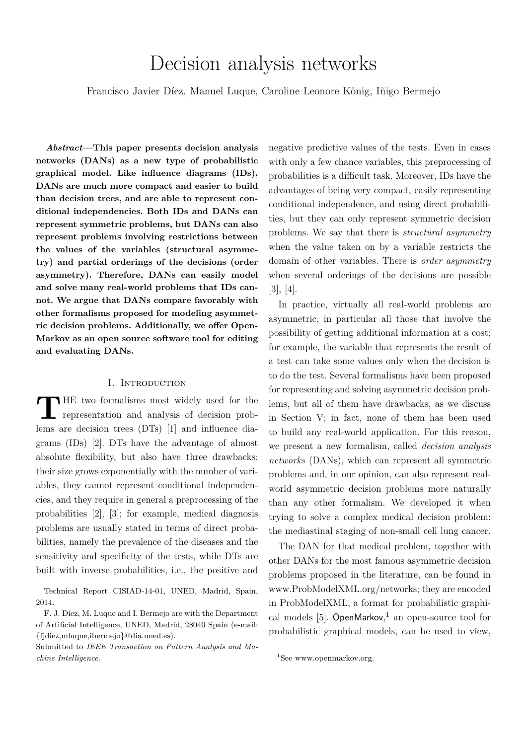# Decision analysis networks

Francisco Javier Díez, Manuel Luque, Caroline Leonore König, Iñigo Bermejo

*Abstract***—This paper presents decision analysis networks (DANs) as a new type of probabilistic graphical model. Like influence diagrams (IDs), DANs are much more compact and easier to build than decision trees, and are able to represent conditional independencies. Both IDs and DANs can represent symmetric problems, but DANs can also represent problems involving restrictions between the values of the variables (structural asymmetry) and partial orderings of the decisions (order asymmetry). Therefore, DANs can easily model and solve many real-world problems that IDs cannot. We argue that DANs compare favorably with other formalisms proposed for modeling asymmetric decision problems. Additionally, we offer Open-Markov as an open source software tool for editing and evaluating DANs.**

# I. INTRODUCTION

**T HE** two formalisms most widely used for the representation and analysis of decision problems are decision trees (DTs) [1] and influence diagrams (IDs) [2]. DTs have the advantage of almost absolute flexibility, but also have three drawbacks: their size grows exponentially with the number of variables, they cannot represent conditional independencies, and they require in general a preprocessing of the probabilities [2], [3]; for example, medical diagnosis problems are usually stated in terms of direct probabilities, namely the prevalence of the diseases and the sensitivity and specificity of the tests, while DTs are built with inverse probabilities, i.e., the positive and

Technical Report CISIAD-14-01, UNED, Madrid, Spain, 2014.

F. J. Díez, M. Luque and I. Bermejo are with the Department of Artificial Intelligence, UNED, Madrid, 28040 Spain (e-mail: {fjdiez,mluque,ibermejo}@dia.uned.es).

Submitted to *IEEE Transaction on Pattern Analysis and Machine Intelligence.*

negative predictive values of the tests. Even in cases with only a few chance variables, this preprocessing of probabilities is a difficult task. Moreover, IDs have the advantages of being very compact, easily representing conditional independence, and using direct probabilities, but they can only represent symmetric decision problems. We say that there is *structural asymmetry* when the value taken on by a variable restricts the domain of other variables. There is *order asymmetry* when several orderings of the decisions are possible [3], [4].

In practice, virtually all real-world problems are asymmetric, in particular all those that involve the possibility of getting additional information at a cost; for example, the variable that represents the result of a test can take some values only when the decision is to do the test. Several formalisms have been proposed for representing and solving asymmetric decision problems, but all of them have drawbacks, as we discuss in Section V; in fact, none of them has been used to build any real-world application. For this reason, we present a new formalism, called *decision analysis networks* (DANs), which can represent all symmetric problems and, in our opinion, can also represent realworld asymmetric decision problems more naturally than any other formalism. We developed it when trying to solve a complex medical decision problem: the mediastinal staging of non-small cell lung cancer.

The DAN for that medical problem, together with other DANs for the most famous asymmetric decision problems proposed in the literature, can be found in www.ProbModelXML.org/networks; they are encoded in ProbModelXML, a format for probabilistic graphical models [5]. OpenMarkov, <sup>1</sup> an open-source tool for probabilistic graphical models, can be used to view,

<sup>&</sup>lt;sup>1</sup>See www.openmarkov.org.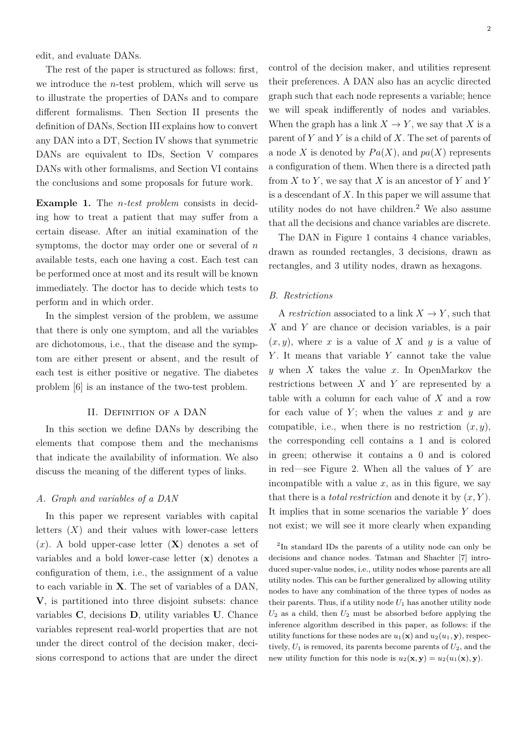edit, and evaluate DANs.

The rest of the paper is structured as follows: first, we introduce the *n*-test problem, which will serve us to illustrate the properties of DANs and to compare different formalisms. Then Section II presents the definition of DANs, Section III explains how to convert any DAN into a DT, Section IV shows that symmetric DANs are equivalent to IDs, Section V compares DANs with other formalisms, and Section VI contains the conclusions and some proposals for future work.

**Example 1.** The *n-test problem* consists in deciding how to treat a patient that may suffer from a certain disease. After an initial examination of the symptoms, the doctor may order one or several of *n* available tests, each one having a cost. Each test can be performed once at most and its result will be known immediately. The doctor has to decide which tests to perform and in which order.

In the simplest version of the problem, we assume that there is only one symptom, and all the variables are dichotomous, i.e., that the disease and the symptom are either present or absent, and the result of each test is either positive or negative. The diabetes problem [6] is an instance of the two-test problem.

## II. DEFINITION OF A DAN

In this section we define DANs by describing the elements that compose them and the mechanisms that indicate the availability of information. We also discuss the meaning of the different types of links.

# *A. Graph and variables of a DAN*

In this paper we represent variables with capital letters  $(X)$  and their values with lower-case letters (*x*). A bold upper-case letter (**X**) denotes a set of variables and a bold lower-case letter (**x**) denotes a configuration of them, i.e., the assignment of a value to each variable in **X**. The set of variables of a DAN, **V**, is partitioned into three disjoint subsets: chance variables **C**, decisions **D**, utility variables **U**. Chance variables represent real-world properties that are not under the direct control of the decision maker, decisions correspond to actions that are under the direct

control of the decision maker, and utilities represent their preferences. A DAN also has an acyclic directed graph such that each node represents a variable; hence we will speak indifferently of nodes and variables. When the graph has a link  $X \to Y$ , we say that *X* is a parent of *Y* and *Y* is a child of *X*. The set of parents of a node *X* is denoted by  $Pa(X)$ , and  $pa(X)$  represents a configuration of them. When there is a directed path from *X* to *Y* , we say that *X* is an ancestor of *Y* and *Y* is a descendant of *X*. In this paper we will assume that utility nodes do not have children. $<sup>2</sup>$  We also assume</sup> that all the decisions and chance variables are discrete.

The DAN in Figure 1 contains 4 chance variables, drawn as rounded rectangles, 3 decisions, drawn as rectangles, and 3 utility nodes, drawn as hexagons.

# *B. Restrictions*

A *restriction* associated to a link  $X \to Y$ , such that *X* and *Y* are chance or decision variables, is a pair  $(x, y)$ , where *x* is a value of *X* and *y* is a value of *Y* . It means that variable *Y* cannot take the value *y* when *X* takes the value *x*. In OpenMarkov the restrictions between *X* and *Y* are represented by a table with a column for each value of *X* and a row for each value of  $Y$ ; when the values  $x$  and  $y$  are compatible, i.e., when there is no restriction  $(x, y)$ , the corresponding cell contains a 1 and is colored in green; otherwise it contains a 0 and is colored in red—see Figure 2. When all the values of *Y* are incompatible with a value  $x$ , as in this figure, we say that there is a *total restriction* and denote it by (*x, Y* ). It implies that in some scenarios the variable *Y* does not exist; we will see it more clearly when expanding

<sup>2</sup>In standard IDs the parents of a utility node can only be decisions and chance nodes. Tatman and Shachter [7] introduced super-value nodes, i.e., utility nodes whose parents are all utility nodes. This can be further generalized by allowing utility nodes to have any combination of the three types of nodes as their parents. Thus, if a utility node  $U_1$  has another utility node  $U_2$  as a child, then  $U_2$  must be absorbed before applying the inference algorithm described in this paper, as follows: if the utility functions for these nodes are  $u_1(\mathbf{x})$  and  $u_2(u_1, \mathbf{y})$ , respectively,  $U_1$  is removed, its parents become parents of  $U_2$ , and the new utility function for this node is  $u_2(\mathbf{x}, \mathbf{y}) = u_2(u_1(\mathbf{x}), \mathbf{y})$ .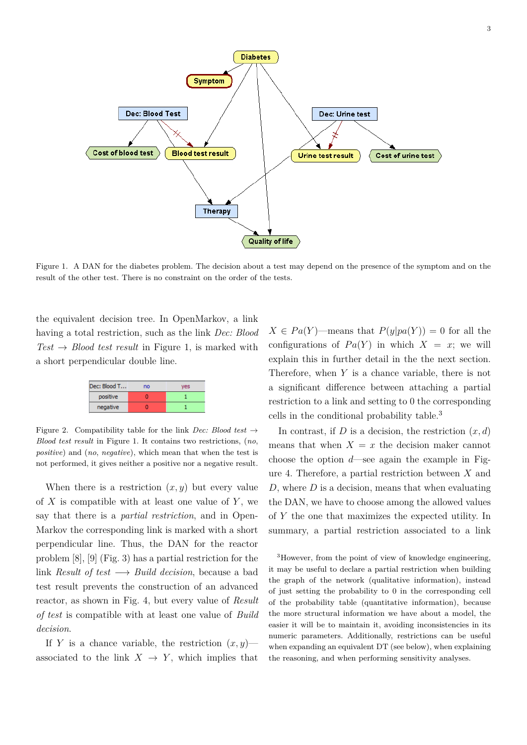

Figure 1. A DAN for the diabetes problem. The decision about a test may depend on the presence of the symptom and on the result of the other test. There is no constraint on the order of the tests.

the equivalent decision tree. In OpenMarkov, a link having a total restriction, such as the link *Dec: Blood*  $Test \rightarrow Blood \text{ test } result \text{ in Figure 1, is marked with }$ a short perpendicular double line.



Figure 2. Compatibility table for the link *Dec: Blood test*  $\rightarrow$ *Blood test result* in Figure 1. It contains two restrictions, (*no*, *positive*) and (*no*, *negative*), which mean that when the test is not performed, it gives neither a positive nor a negative result.

When there is a restriction  $(x, y)$  but every value of *X* is compatible with at least one value of *Y* , we say that there is a *partial restriction*, and in Open-Markov the corresponding link is marked with a short perpendicular line. Thus, the DAN for the reactor problem [8], [9] (Fig. 3) has a partial restriction for the link *Result of test* −→ *Build decision*, because a bad test result prevents the construction of an advanced reactor, as shown in Fig. 4, but every value of *Result of test* is compatible with at least one value of *Build decision*.

If *Y* is a chance variable, the restriction  $(x, y)$  associated to the link  $X \to Y$ , which implies that  $X \in Pa(Y)$ —means that  $P(y|pa(Y)) = 0$  for all the configurations of  $Pa(Y)$  in which  $X = x$ ; we will explain this in further detail in the the next section. Therefore, when *Y* is a chance variable, there is not a significant difference between attaching a partial restriction to a link and setting to 0 the corresponding cells in the conditional probability table.<sup>3</sup>

In contrast, if *D* is a decision, the restriction  $(x, d)$ means that when  $X = x$  the decision maker cannot choose the option *d*—see again the example in Figure 4. Therefore, a partial restriction between *X* and *D*, where *D* is a decision, means that when evaluating the DAN, we have to choose among the allowed values of *Y* the one that maximizes the expected utility. In summary, a partial restriction associated to a link

<sup>3</sup>However, from the point of view of knowledge engineering, it may be useful to declare a partial restriction when building the graph of the network (qualitative information), instead of just setting the probability to 0 in the corresponding cell of the probability table (quantitative information), because the more structural information we have about a model, the easier it will be to maintain it, avoiding inconsistencies in its numeric parameters. Additionally, restrictions can be useful when expanding an equivalent DT (see below), when explaining the reasoning, and when performing sensitivity analyses.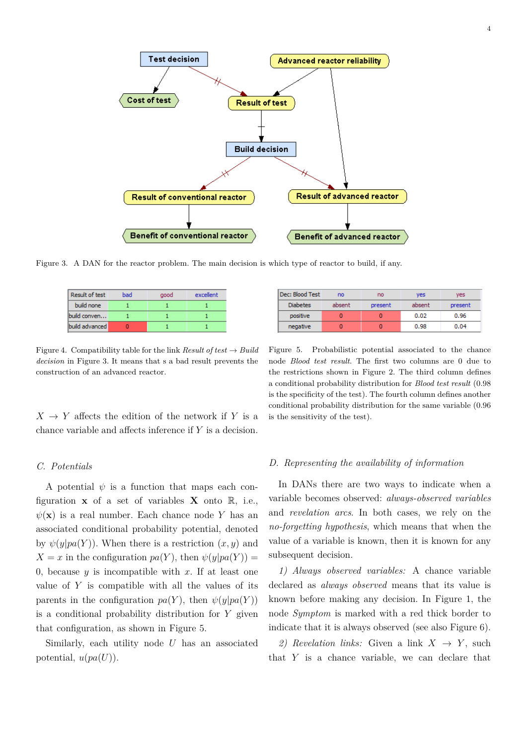

Figure 3. A DAN for the reactor problem. The main decision is which type of reactor to build, if any.

| <b>Result of test</b> | bad | good | excellent |
|-----------------------|-----|------|-----------|
| build none            |     |      |           |
| build conven          |     |      |           |
| build advanced        |     |      |           |

Figure 4. Compatibility table for the link *Result of test*  $\rightarrow$  *Build decision* in Figure 3. It means that s a bad result prevents the construction of an advanced reactor.

 $X \rightarrow Y$  affects the edition of the network if *Y* is a chance variable and affects inference if *Y* is a decision.

| Dec: Blood Test | no     | no      | ves    | ves     |
|-----------------|--------|---------|--------|---------|
| <b>Diabetes</b> | absent | present | absent | present |
| positive        |        |         | 0.02   | 0.96    |
| negative        |        |         | 0.98   | 0.04    |

Figure 5. Probabilistic potential associated to the chance node *Blood test result*. The first two columns are 0 due to the restrictions shown in Figure 2. The third column defines a conditional probability distribution for *Blood test result* (0.98 is the specificity of the test). The fourth column defines another conditional probability distribution for the same variable (0.96 is the sensitivity of the test).

## *C. Potentials*

A potential  $\psi$  is a function that maps each configuration **x** of a set of variables **X** onto  $\mathbb{R}$ , i.e.,  $\psi(\mathbf{x})$  is a real number. Each chance node *Y* has an associated conditional probability potential, denoted by  $\psi(y|pa(Y))$ . When there is a restriction  $(x, y)$  and  $X = x$  in the configuration  $pa(Y)$ , then  $\psi(y|pa(Y)) =$ 0, because  $y$  is incompatible with  $x$ . If at least one value of *Y* is compatible with all the values of its parents in the configuration  $pa(Y)$ , then  $\psi(y|pa(Y))$ is a conditional probability distribution for *Y* given that configuration, as shown in Figure 5.

Similarly, each utility node *U* has an associated potential,  $u(pa(U)$ ).

## *D. Representing the availability of information*

In DANs there are two ways to indicate when a variable becomes observed: *always-observed variables* and *revelation arcs*. In both cases, we rely on the *no-forgetting hypothesis*, which means that when the value of a variable is known, then it is known for any subsequent decision.

*1) Always observed variables:* A chance variable declared as *always observed* means that its value is known before making any decision. In Figure 1, the node *Symptom* is marked with a red thick border to indicate that it is always observed (see also Figure 6).

2) Revelation links: Given a link  $X \rightarrow Y$ , such that *Y* is a chance variable, we can declare that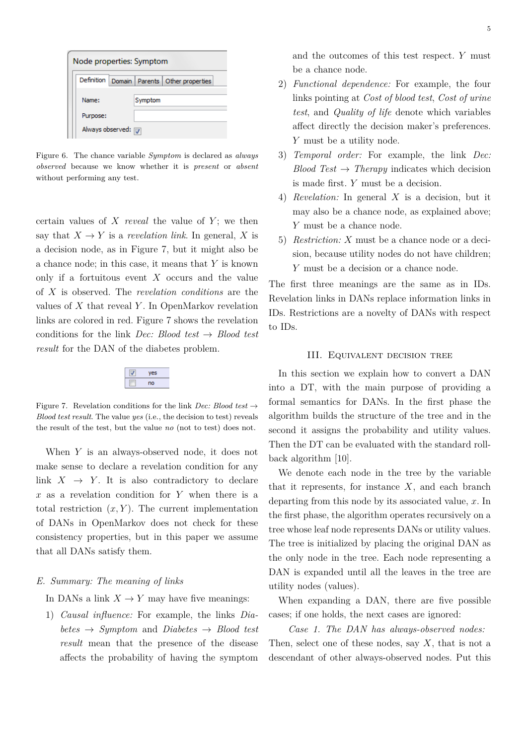| Node properties: Symptom                            |         |  |  |  |
|-----------------------------------------------------|---------|--|--|--|
| Definition  <br>Domain   Parents   Other properties |         |  |  |  |
| Name:                                               | Symptom |  |  |  |
| Purpose:                                            |         |  |  |  |
| Always observed: 7                                  |         |  |  |  |

Figure 6. The chance variable *Symptom* is declared as *always observed* because we know whether it is *present* or *absent* without performing any test.

certain values of *X reveal* the value of *Y* ; we then say that  $X \to Y$  is a *revelation link*. In general, X is a decision node, as in Figure 7, but it might also be a chance node; in this case, it means that *Y* is known only if a fortuitous event *X* occurs and the value of *X* is observed. The *revelation conditions* are the values of *X* that reveal *Y* . In OpenMarkov revelation links are colored in red. Figure 7 shows the revelation conditions for the link *Dec: Blood test* → *Blood test result* for the DAN of the diabetes problem.

| ۰  |
|----|
| no |

Figure 7. Revelation conditions for the link *Dec: Blood test*  $\rightarrow$ *Blood test result*. The value *yes* (i.e., the decision to test) reveals the result of the test, but the value *no* (not to test) does not.

When *Y* is an always-observed node, it does not make sense to declare a revelation condition for any link  $X \rightarrow Y$ . It is also contradictory to declare *x* as a revelation condition for *Y* when there is a total restriction  $(x, Y)$ . The current implementation of DANs in OpenMarkov does not check for these consistency properties, but in this paper we assume that all DANs satisfy them.

## *E. Summary: The meaning of links*

In DANs a link  $X \to Y$  may have five meanings:

1) *Causal influence:* For example, the links *Dia* $betes \rightarrow Symptom$  and *Diabetes*  $\rightarrow$  *Blood test result* mean that the presence of the disease affects the probability of having the symptom and the outcomes of this test respect. *Y* must be a chance node.

- 2) *Functional dependence:* For example, the four links pointing at *Cost of blood test*, *Cost of urine test*, and *Quality of life* denote which variables affect directly the decision maker's preferences. *Y* must be a utility node.
- 3) *Temporal order:* For example, the link *Dec: Blood Test*  $\rightarrow$  *Therapy* indicates which decision is made first. *Y* must be a decision.
- 4) *Revelation:* In general *X* is a decision, but it may also be a chance node, as explained above; *Y* must be a chance node.
- 5) *Restriction: X* must be a chance node or a decision, because utility nodes do not have children; *Y* must be a decision or a chance node.

The first three meanings are the same as in IDs. Revelation links in DANs replace information links in IDs. Restrictions are a novelty of DANs with respect to IDs.

# III. Equivalent decision tree

In this section we explain how to convert a DAN into a DT, with the main purpose of providing a formal semantics for DANs. In the first phase the algorithm builds the structure of the tree and in the second it assigns the probability and utility values. Then the DT can be evaluated with the standard rollback algorithm [10].

We denote each node in the tree by the variable that it represents, for instance *X*, and each branch departing from this node by its associated value, *x*. In the first phase, the algorithm operates recursively on a tree whose leaf node represents DANs or utility values. The tree is initialized by placing the original DAN as the only node in the tree. Each node representing a DAN is expanded until all the leaves in the tree are utility nodes (values).

When expanding a DAN, there are five possible cases; if one holds, the next cases are ignored:

*Case 1. The DAN has always-observed nodes:* Then, select one of these nodes, say *X*, that is not a descendant of other always-observed nodes. Put this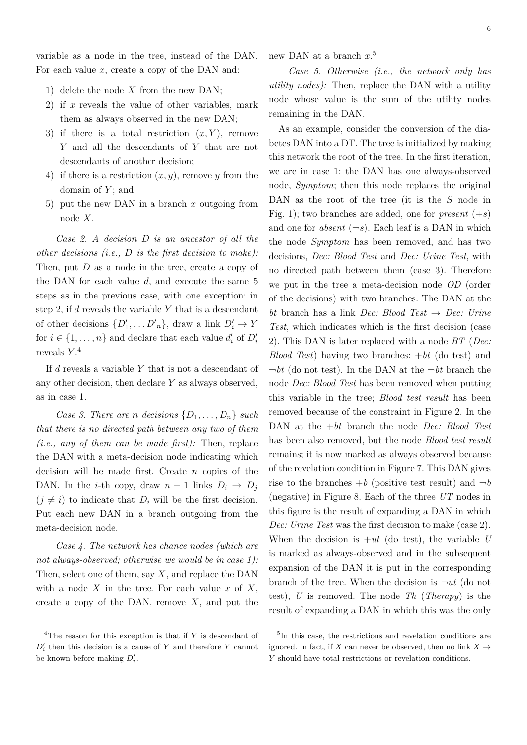variable as a node in the tree, instead of the DAN. For each value *x*, create a copy of the DAN and:

- 1) delete the node *X* from the new DAN;
- 2) if *x* reveals the value of other variables, mark them as always observed in the new DAN;
- 3) if there is a total restriction  $(x, Y)$ , remove *Y* and all the descendants of *Y* that are not descendants of another decision;
- 4) if there is a restriction (*x, y*), remove *y* from the domain of *Y* ; and
- 5) put the new DAN in a branch *x* outgoing from node *X*.

*Case 2. A decision D is an ancestor of all the other decisions (i.e., D is the first decision to make):* Then, put *D* as a node in the tree, create a copy of the DAN for each value *d*, and execute the same 5 steps as in the previous case, with one exception: in step 2, if *d* reveals the variable *Y* that is a descendant of other decisions  $\{D'_1, \ldots D'_n\}$ , draw a link  $D'_i \to Y$ for  $i \in \{1, \ldots, n\}$  and declare that each value  $d_i'$  of  $D_i'$ reveals *Y* . 4

If *d* reveals a variable *Y* that is not a descendant of any other decision, then declare *Y* as always observed, as in case 1.

*Case 3. There are n decisions*  $\{D_1, \ldots, D_n\}$  *such that there is no directed path between any two of them (i.e., any of them can be made first):* Then, replace the DAN with a meta-decision node indicating which decision will be made first. Create *n* copies of the DAN. In the *i*-th copy, draw  $n-1$  links  $D_i \rightarrow D_j$  $(j \neq i)$  to indicate that  $D_i$  will be the first decision. Put each new DAN in a branch outgoing from the meta-decision node.

*Case 4. The network has chance nodes (which are not always-observed; otherwise we would be in case 1):* Then, select one of them, say *X*, and replace the DAN with a node *X* in the tree. For each value *x* of *X*, create a copy of the DAN, remove *X*, and put the new DAN at a branch *x*. 5

*Case 5. Otherwise (i.e., the network only has utility nodes):* Then, replace the DAN with a utility node whose value is the sum of the utility nodes remaining in the DAN.

As an example, consider the conversion of the diabetes DAN into a DT. The tree is initialized by making this network the root of the tree. In the first iteration, we are in case 1: the DAN has one always-observed node, *Symptom*; then this node replaces the original DAN as the root of the tree (it is the *S* node in Fig. 1); two branches are added, one for *present*  $(+s)$ and one for *absent*  $(-s)$ . Each leaf is a DAN in which the node *Symptom* has been removed, and has two decisions, *Dec: Blood Test* and *Dec: Urine Test*, with no directed path between them (case 3). Therefore we put in the tree a meta-decision node *OD* (order of the decisions) with two branches. The DAN at the *bt* branch has a link *Dec: Blood Test* → *Dec: Urine Test*, which indicates which is the first decision (case 2). This DAN is later replaced with a node *BT* (*Dec: Blood Test*) having two branches: +*bt* (do test) and  $\neg bt$  (do not test). In the DAN at the  $\neg bt$  branch the node *Dec: Blood Test* has been removed when putting this variable in the tree; *Blood test result* has been removed because of the constraint in Figure 2. In the DAN at the +*bt* branch the node *Dec: Blood Test* has been also removed, but the node *Blood test result* remains; it is now marked as always observed because of the revelation condition in Figure 7. This DAN gives rise to the branches  $+b$  (positive test result) and  $\neg b$ (negative) in Figure 8. Each of the three *UT* nodes in this figure is the result of expanding a DAN in which *Dec: Urine Test* was the first decision to make (case 2). When the decision is  $+ut$  (do test), the variable *U* is marked as always-observed and in the subsequent expansion of the DAN it is put in the corresponding branch of the tree. When the decision is  $\neg ut$  (do not test), *U* is removed. The node *Th* (*Therapy*) is the result of expanding a DAN in which this was the only

<sup>&</sup>lt;sup>4</sup>The reason for this exception is that if *Y* is descendant of  $D_i'$  then this decision is a cause of  $Y$  and therefore  $Y$  cannot be known before making  $D'_i$ .

<sup>&</sup>lt;sup>5</sup>In this case, the restrictions and revelation conditions are ignored. In fact, if *X* can never be observed, then no link  $X \rightarrow$ *Y* should have total restrictions or revelation conditions.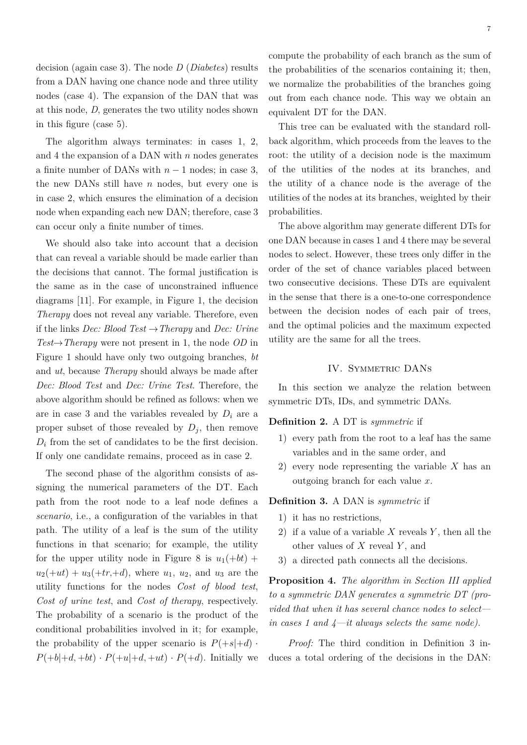decision (again case 3). The node *D* (*Diabetes*) results from a DAN having one chance node and three utility nodes (case 4). The expansion of the DAN that was at this node, *D*, generates the two utility nodes shown in this figure (case 5).

The algorithm always terminates: in cases 1, 2, and 4 the expansion of a DAN with *n* nodes generates a finite number of DANs with *n* − 1 nodes; in case 3, the new DANs still have *n* nodes, but every one is in case 2, which ensures the elimination of a decision node when expanding each new DAN; therefore, case 3 can occur only a finite number of times.

We should also take into account that a decision that can reveal a variable should be made earlier than the decisions that cannot. The formal justification is the same as in the case of unconstrained influence diagrams [11]. For example, in Figure 1, the decision *Therapy* does not reveal any variable. Therefore, even if the links *Dec: Blood Test* →*Therapy* and *Dec: Urine Test*→*Therapy* were not present in 1, the node *OD* in Figure 1 should have only two outgoing branches, *bt* and *ut*, because *Therapy* should always be made after *Dec: Blood Test* and *Dec: Urine Test*. Therefore, the above algorithm should be refined as follows: when we are in case 3 and the variables revealed by  $D_i$  are a proper subset of those revealed by  $D_j$ , then remove  $D_i$  from the set of candidates to be the first decision. If only one candidate remains, proceed as in case 2.

The second phase of the algorithm consists of assigning the numerical parameters of the DT. Each path from the root node to a leaf node defines a *scenario*, i.e., a configuration of the variables in that path. The utility of a leaf is the sum of the utility functions in that scenario; for example, the utility for the upper utility node in Figure 8 is  $u_1(+bt)$  +  $u_2(+ut) + u_3(+tr,+d)$ , where  $u_1, u_2$ , and  $u_3$  are the utility functions for the nodes *Cost of blood test*, *Cost of urine test*, and *Cost of therapy*, respectively. The probability of a scenario is the product of the conditional probabilities involved in it; for example, the probability of the upper scenario is  $P(+s|+d)$ .  $P(+b|+d, +bt) \cdot P(+u|+d, +ut) \cdot P(+d)$ . Initially we

compute the probability of each branch as the sum of the probabilities of the scenarios containing it; then, we normalize the probabilities of the branches going out from each chance node. This way we obtain an equivalent DT for the DAN.

This tree can be evaluated with the standard rollback algorithm, which proceeds from the leaves to the root: the utility of a decision node is the maximum of the utilities of the nodes at its branches, and the utility of a chance node is the average of the utilities of the nodes at its branches, weighted by their probabilities.

The above algorithm may generate different DTs for one DAN because in cases 1 and 4 there may be several nodes to select. However, these trees only differ in the order of the set of chance variables placed between two consecutive decisions. These DTs are equivalent in the sense that there is a one-to-one correspondence between the decision nodes of each pair of trees, and the optimal policies and the maximum expected utility are the same for all the trees.

# IV. SYMMETRIC DANS

In this section we analyze the relation between symmetric DTs, IDs, and symmetric DANs.

# **Definition 2.** A DT is *symmetric* if

- 1) every path from the root to a leaf has the same variables and in the same order, and
- 2) every node representing the variable *X* has an outgoing branch for each value *x*.

**Definition 3.** A DAN is *symmetric* if

- 1) it has no restrictions,
- 2) if a value of a variable *X* reveals *Y* , then all the other values of *X* reveal *Y* , and
- 3) a directed path connects all the decisions.

**Proposition 4.** *The algorithm in Section III applied to a symmetric DAN generates a symmetric DT (provided that when it has several chance nodes to select in cases 1 and 4—it always selects the same node).*

*Proof:* The third condition in Definition 3 induces a total ordering of the decisions in the DAN: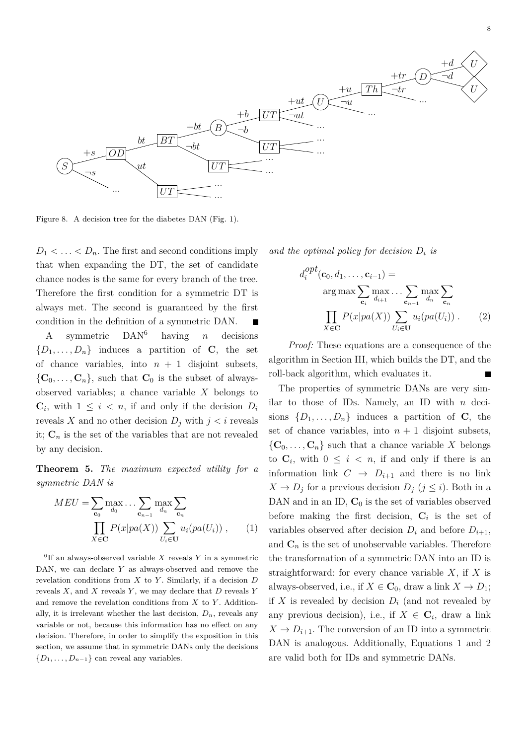

Figure 8. A decision tree for the diabetes DAN (Fig. 1).

 $D_1 < \ldots < D_n$ . The first and second conditions imply that when expanding the DT, the set of candidate chance nodes is the same for every branch of the tree. Therefore the first condition for a symmetric DT is always met. The second is guaranteed by the first condition in the definition of a symmetric DAN.

A symmetric DAN<sup>6</sup> having *n* decisions  ${D_1, \ldots, D_n}$  induces a partition of **C**, the set of chance variables, into  $n + 1$  disjoint subsets,  $\{C_0, \ldots, C_n\}$ , such that  $C_0$  is the subset of alwaysobserved variables; a chance variable *X* belongs to  $\mathbf{C}_i$ , with  $1 \leq i \leq n$ , if and only if the decision  $D_i$ reveals *X* and no other decision  $D_j$  with  $j < i$  reveals it;  $C_n$  is the set of the variables that are not revealed by any decision.

**Theorem 5.** *The maximum expected utility for a symmetric DAN is*

$$
MEU = \sum_{\mathbf{c}_0} \max_{d_0} \dots \sum_{\mathbf{c}_{n-1}} \max_{d_n} \sum_{\mathbf{c}_n} \prod_{X \in \mathbf{C}} P(x|pa(X)) \sum_{U_i \in \mathbf{U}} u_i(pa(U_i)),
$$
\n(1)

6 If an always-observed variable *X* reveals *Y* in a symmetric DAN, we can declare *Y* as always-observed and remove the revelation conditions from *X* to *Y* . Similarly, if a decision *D* reveals *X*, and *X* reveals *Y* , we may declare that *D* reveals *Y* and remove the revelation conditions from *X* to *Y* . Additionally, it is irrelevant whether the last decision,  $D_n$ , reveals any variable or not, because this information has no effect on any decision. Therefore, in order to simplify the exposition in this section, we assume that in symmetric DANs only the decisions  ${D_1, \ldots, D_{n-1}}$  can reveal any variables.

*and the optimal policy for decision D<sup>i</sup> is*

$$
d_i^{opt}(\mathbf{c}_0, d_1, \dots, \mathbf{c}_{i-1}) =
$$
  
arg max<sub>**c**<sub>i</sub></sub>  $\sum_{d_{i+1}} \max_{\mathbf{c}_{n-1}} \sum_{d_n} \sum_{\mathbf{c}_n}$   

$$
\prod_{X \in \mathbf{C}} P(x|pa(X)) \sum_{U_i \in \mathbf{U}} u_i(pa(U_i)) . \tag{2}
$$

*Proof:* These equations are a consequence of the algorithm in Section III, which builds the DT, and the roll-back algorithm, which evaluates it.

The properties of symmetric DANs are very similar to those of IDs. Namely, an ID with *n* decisions  $\{D_1, \ldots, D_n\}$  induces a partition of **C**, the set of chance variables, into  $n + 1$  disjoint subsets,  $\{C_0, \ldots, C_n\}$  such that a chance variable X belongs to  $\mathbf{C}_i$ , with  $0 \leq i \leq n$ , if and only if there is an information link  $C \rightarrow D_{i+1}$  and there is no link  $X \to D_j$  for a previous decision  $D_j$  ( $j \leq i$ ). Both in a DAN and in an ID,  $C_0$  is the set of variables observed before making the first decision,  $C_i$  is the set of variables observed after decision  $D_i$  and before  $D_{i+1}$ , and  $C_n$  is the set of unobservable variables. Therefore the transformation of a symmetric DAN into an ID is straightforward: for every chance variable *X*, if *X* is always-observed, i.e., if  $X \in \mathbb{C}_0$ , draw a link  $X \to D_1$ ; if  $X$  is revealed by decision  $D_i$  (and not revealed by any previous decision), i.e., if  $X \in \mathbb{C}_i$ , draw a link  $X \to D_{i+1}$ . The conversion of an ID into a symmetric DAN is analogous. Additionally, Equations 1 and 2 are valid both for IDs and symmetric DANs.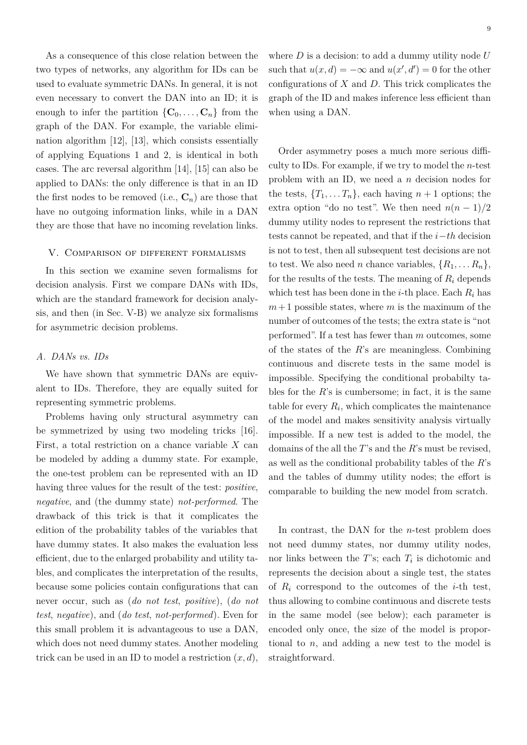As a consequence of this close relation between the two types of networks, any algorithm for IDs can be used to evaluate symmetric DANs. In general, it is not even necessary to convert the DAN into an ID; it is enough to infer the partition  $\{C_0, \ldots, C_n\}$  from the graph of the DAN. For example, the variable elimination algorithm [12], [13], which consists essentially of applying Equations 1 and 2, is identical in both cases. The arc reversal algorithm [14], [15] can also be applied to DANs: the only difference is that in an ID the first nodes to be removed (i.e.,  $\mathbf{C}_n$ ) are those that have no outgoing information links, while in a DAN they are those that have no incoming revelation links.

#### V. Comparison of different formalisms

In this section we examine seven formalisms for decision analysis. First we compare DANs with IDs, which are the standard framework for decision analysis, and then (in Sec. V-B) we analyze six formalisms for asymmetric decision problems.

## *A. DANs vs. IDs*

We have shown that symmetric DANs are equivalent to IDs. Therefore, they are equally suited for representing symmetric problems.

Problems having only structural asymmetry can be symmetrized by using two modeling tricks [16]. First, a total restriction on a chance variable *X* can be modeled by adding a dummy state. For example, the one-test problem can be represented with an ID having three values for the result of the test: *positive*, *negative*, and (the dummy state) *not-performed*. The drawback of this trick is that it complicates the edition of the probability tables of the variables that have dummy states. It also makes the evaluation less efficient, due to the enlarged probability and utility tables, and complicates the interpretation of the results, because some policies contain configurations that can never occur, such as (*do not test*, *positive*), (*do not test*, *negative*), and (*do test*, *not-performed*). Even for this small problem it is advantageous to use a DAN, which does not need dummy states. Another modeling trick can be used in an ID to model a restriction (*x, d*),

where *D* is a decision: to add a dummy utility node *U* such that  $u(x, d) = -\infty$  and  $u(x', d') = 0$  for the other configurations of *X* and *D*. This trick complicates the graph of the ID and makes inference less efficient than when using a DAN.

Order asymmetry poses a much more serious difficulty to IDs. For example, if we try to model the *n*-test problem with an ID, we need a *n* decision nodes for the tests,  ${T_1, \ldots, T_n}$ , each having  $n+1$  options; the extra option "do no test". We then need  $n(n-1)/2$ dummy utility nodes to represent the restrictions that tests cannot be repeated, and that if the *i*−*th* decision is not to test, then all subsequent test decisions are not to test. We also need *n* chance variables,  $\{R_1, \ldots, R_n\}$ , for the results of the tests. The meaning of  $R_i$  depends which test has been done in the *i*-th place. Each  $R_i$  has  $m+1$  possible states, where *m* is the maximum of the number of outcomes of the tests; the extra state is "not performed". If a test has fewer than *m* outcomes, some of the states of the *R*'s are meaningless. Combining continuous and discrete tests in the same model is impossible. Specifying the conditional probabilty tables for the  $R$ 's is cumbersome; in fact, it is the same table for every  $R_i$ , which complicates the maintenance of the model and makes sensitivity analysis virtually impossible. If a new test is added to the model, the domains of the all the *T*'s and the *R*'s must be revised, as well as the conditional probability tables of the *R*'s and the tables of dummy utility nodes; the effort is comparable to building the new model from scratch.

In contrast, the DAN for the *n*-test problem does not need dummy states, nor dummy utility nodes, nor links between the  $T$ 's; each  $T_i$  is dichotomic and represents the decision about a single test, the states of *R<sup>i</sup>* correspond to the outcomes of the *i*-th test, thus allowing to combine continuous and discrete tests in the same model (see below); each parameter is encoded only once, the size of the model is proportional to *n*, and adding a new test to the model is straightforward.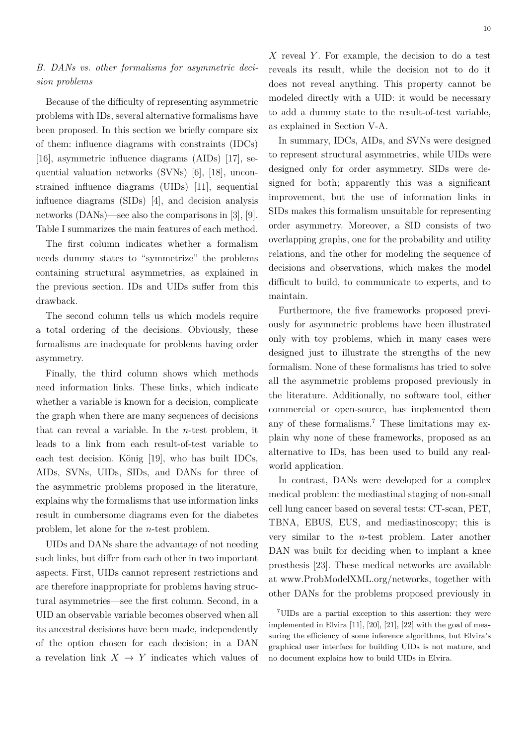# *B. DANs vs. other formalisms for asymmetric decision problems*

Because of the difficulty of representing asymmetric problems with IDs, several alternative formalisms have been proposed. In this section we briefly compare six of them: influence diagrams with constraints (IDCs) [16], asymmetric influence diagrams (AIDs) [17], sequential valuation networks (SVNs) [6], [18], unconstrained influence diagrams (UIDs) [11], sequential influence diagrams (SIDs) [4], and decision analysis networks (DANs)—see also the comparisons in [3], [9]. Table I summarizes the main features of each method.

The first column indicates whether a formalism needs dummy states to "symmetrize" the problems containing structural asymmetries, as explained in the previous section. IDs and UIDs suffer from this drawback.

The second column tells us which models require a total ordering of the decisions. Obviously, these formalisms are inadequate for problems having order asymmetry.

Finally, the third column shows which methods need information links. These links, which indicate whether a variable is known for a decision, complicate the graph when there are many sequences of decisions that can reveal a variable. In the *n*-test problem, it leads to a link from each result-of-test variable to each test decision. König [19], who has built IDCs, AIDs, SVNs, UIDs, SIDs, and DANs for three of the asymmetric problems proposed in the literature, explains why the formalisms that use information links result in cumbersome diagrams even for the diabetes problem, let alone for the *n*-test problem.

UIDs and DANs share the advantage of not needing such links, but differ from each other in two important aspects. First, UIDs cannot represent restrictions and are therefore inappropriate for problems having structural asymmetries—see the first column. Second, in a UID an observable variable becomes observed when all its ancestral decisions have been made, independently of the option chosen for each decision; in a DAN a revelation link  $X \to Y$  indicates which values of *X* reveal *Y* . For example, the decision to do a test reveals its result, while the decision not to do it does not reveal anything. This property cannot be modeled directly with a UID: it would be necessary to add a dummy state to the result-of-test variable, as explained in Section V-A.

In summary, IDCs, AIDs, and SVNs were designed to represent structural asymmetries, while UIDs were designed only for order asymmetry. SIDs were designed for both; apparently this was a significant improvement, but the use of information links in SIDs makes this formalism unsuitable for representing order asymmetry. Moreover, a SID consists of two overlapping graphs, one for the probability and utility relations, and the other for modeling the sequence of decisions and observations, which makes the model difficult to build, to communicate to experts, and to maintain.

Furthermore, the five frameworks proposed previously for asymmetric problems have been illustrated only with toy problems, which in many cases were designed just to illustrate the strengths of the new formalism. None of these formalisms has tried to solve all the asymmetric problems proposed previously in the literature. Additionally, no software tool, either commercial or open-source, has implemented them any of these formalisms.<sup>7</sup> These limitations may explain why none of these frameworks, proposed as an alternative to IDs, has been used to build any realworld application.

In contrast, DANs were developed for a complex medical problem: the mediastinal staging of non-small cell lung cancer based on several tests: CT-scan, PET, TBNA, EBUS, EUS, and mediastinoscopy; this is very similar to the *n*-test problem. Later another DAN was built for deciding when to implant a knee prosthesis [23]. These medical networks are available at www.ProbModelXML.org/networks, together with other DANs for the problems proposed previously in

<sup>7</sup>UIDs are a partial exception to this assertion: they were implemented in Elvira [11], [20], [21], [22] with the goal of measuring the efficiency of some inference algorithms, but Elvira's graphical user interface for building UIDs is not mature, and no document explains how to build UIDs in Elvira.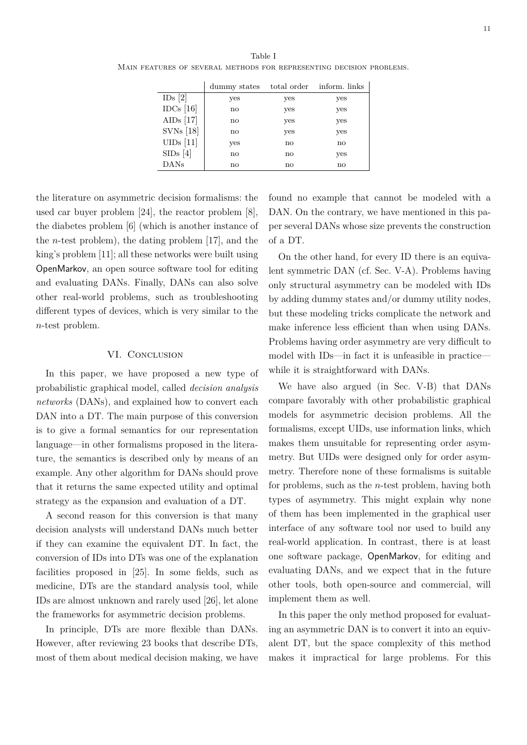|             | dummy states | total order            | inform. links |
|-------------|--------------|------------------------|---------------|
| IDs [2]     | yes          | yes                    | yes           |
| IDCs $[16]$ | $\mathbf{n}$ | yes                    | yes           |
| AIDs $[17]$ | $\mathbf{n}$ | yes                    | yes           |
| $SVNs$ [18] | no           | yes                    | yes           |
| $UIDs$ [11] | yes          | no                     | no            |
| SIDs[4]     | $\mathbf{n}$ | no                     | yes           |
| DANs        | no           | $\mathbf{n}\mathbf{o}$ | $\mathbf{n}$  |

the literature on asymmetric decision formalisms: the used car buyer problem [24], the reactor problem [8], the diabetes problem [6] (which is another instance of the *n*-test problem), the dating problem [17], and the king's problem [11]; all these networks were built using OpenMarkov, an open source software tool for editing and evaluating DANs. Finally, DANs can also solve other real-world problems, such as troubleshooting different types of devices, which is very similar to the *n*-test problem.

## VI. CONCLUSION

In this paper, we have proposed a new type of probabilistic graphical model, called *decision analysis networks* (DANs), and explained how to convert each DAN into a DT. The main purpose of this conversion is to give a formal semantics for our representation language—in other formalisms proposed in the literature, the semantics is described only by means of an example. Any other algorithm for DANs should prove that it returns the same expected utility and optimal strategy as the expansion and evaluation of a DT.

A second reason for this conversion is that many decision analysts will understand DANs much better if they can examine the equivalent DT. In fact, the conversion of IDs into DTs was one of the explanation facilities proposed in [25]. In some fields, such as medicine, DTs are the standard analysis tool, while IDs are almost unknown and rarely used [26], let alone the frameworks for asymmetric decision problems.

In principle, DTs are more flexible than DANs. However, after reviewing 23 books that describe DTs, most of them about medical decision making, we have

found no example that cannot be modeled with a DAN. On the contrary, we have mentioned in this paper several DANs whose size prevents the construction of a DT.

On the other hand, for every ID there is an equivalent symmetric DAN (cf. Sec. V-A). Problems having only structural asymmetry can be modeled with IDs by adding dummy states and/or dummy utility nodes, but these modeling tricks complicate the network and make inference less efficient than when using DANs. Problems having order asymmetry are very difficult to model with IDs—in fact it is unfeasible in practice while it is straightforward with DANs.

We have also argued (in Sec. V-B) that DANs compare favorably with other probabilistic graphical models for asymmetric decision problems. All the formalisms, except UIDs, use information links, which makes them unsuitable for representing order asymmetry. But UIDs were designed only for order asymmetry. Therefore none of these formalisms is suitable for problems, such as the *n*-test problem, having both types of asymmetry. This might explain why none of them has been implemented in the graphical user interface of any software tool nor used to build any real-world application. In contrast, there is at least one software package, OpenMarkov, for editing and evaluating DANs, and we expect that in the future other tools, both open-source and commercial, will implement them as well.

In this paper the only method proposed for evaluating an asymmetric DAN is to convert it into an equivalent DT, but the space complexity of this method makes it impractical for large problems. For this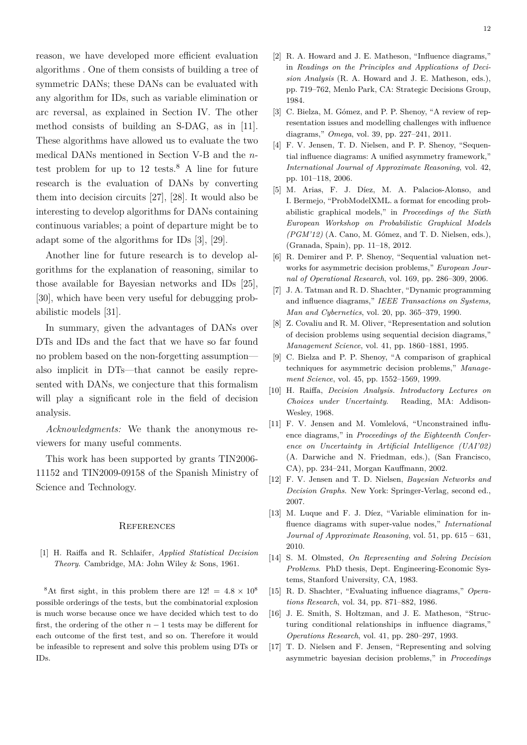reason, we have developed more efficient evaluation algorithms . One of them consists of building a tree of symmetric DANs; these DANs can be evaluated with any algorithm for IDs, such as variable elimination or arc reversal, as explained in Section IV. The other method consists of building an S-DAG, as in [11]. These algorithms have allowed us to evaluate the two medical DANs mentioned in Section V-B and the *n*test problem for up to  $12$  tests.<sup>8</sup> A line for future research is the evaluation of DANs by converting them into decision circuits [27], [28]. It would also be interesting to develop algorithms for DANs containing continuous variables; a point of departure might be to adapt some of the algorithms for IDs [3], [29].

Another line for future research is to develop algorithms for the explanation of reasoning, similar to those available for Bayesian networks and IDs [25], [30], which have been very useful for debugging probabilistic models [31].

In summary, given the advantages of DANs over DTs and IDs and the fact that we have so far found no problem based on the non-forgetting assumption also implicit in DTs—that cannot be easily represented with DANs, we conjecture that this formalism will play a significant role in the field of decision analysis.

*Acknowledgments:* We thank the anonymous reviewers for many useful comments.

This work has been supported by grants TIN2006- 11152 and TIN2009-09158 of the Spanish Ministry of Science and Technology.

#### **REFERENCES**

[1] H. Raiffa and R. Schlaifer, *Applied Statistical Decision Theory*. Cambridge, MA: John Wiley & Sons, 1961.

<sup>8</sup>At first sight, in this problem there are  $12! = 4.8 \times 10^8$ possible orderings of the tests, but the combinatorial explosion is much worse because once we have decided which test to do first, the ordering of the other  $n-1$  tests may be different for each outcome of the first test, and so on. Therefore it would be infeasible to represent and solve this problem using DTs or IDs.

- [2] R. A. Howard and J. E. Matheson, "Influence diagrams," in *Readings on the Principles and Applications of Decision Analysis* (R. A. Howard and J. E. Matheson, eds.), pp. 719–762, Menlo Park, CA: Strategic Decisions Group, 1984.
- [3] C. Bielza, M. Gómez, and P. P. Shenoy, "A review of representation issues and modelling challenges with influence diagrams," *Omega*, vol. 39, pp. 227–241, 2011.
- [4] F. V. Jensen, T. D. Nielsen, and P. P. Shenoy, "Sequential influence diagrams: A unified asymmetry framework," *International Journal of Approximate Reasoning*, vol. 42, pp. 101–118, 2006.
- [5] M. Arias, F. J. Díez, M. A. Palacios-Alonso, and I. Bermejo, "ProbModelXML. a format for encoding probabilistic graphical models," in *Proceedings of the Sixth European Workshop on Probabilistic Graphical Models (PGM'12)* (A. Cano, M. Gómez, and T. D. Nielsen, eds.), (Granada, Spain), pp. 11–18, 2012.
- [6] R. Demirer and P. P. Shenoy, "Sequential valuation networks for asymmetric decision problems," *European Journal of Operational Research*, vol. 169, pp. 286–309, 2006.
- [7] J. A. Tatman and R. D. Shachter, "Dynamic programming and influence diagrams," *IEEE Transactions on Systems, Man and Cybernetics*, vol. 20, pp. 365–379, 1990.
- [8] Z. Covaliu and R. M. Oliver, "Representation and solution of decision problems using sequential decision diagrams," *Management Science*, vol. 41, pp. 1860–1881, 1995.
- [9] C. Bielza and P. P. Shenoy, "A comparison of graphical techniques for asymmetric decision problems," *Management Science*, vol. 45, pp. 1552–1569, 1999.
- [10] H. Raiffa, *Decision Analysis. Introductory Lectures on Choices under Uncertainty*. Reading, MA: Addison-Wesley, 1968.
- [11] F. V. Jensen and M. Vomlelová, "Unconstrained influence diagrams," in *Proceedings of the Eighteenth Conference on Uncertainty in Artificial Intelligence (UAI'02)* (A. Darwiche and N. Friedman, eds.), (San Francisco, CA), pp. 234–241, Morgan Kauffmann, 2002.
- [12] F. V. Jensen and T. D. Nielsen, *Bayesian Networks and Decision Graphs*. New York: Springer-Verlag, second ed., 2007.
- [13] M. Luque and F. J. Díez, "Variable elimination for influence diagrams with super-value nodes," *International Journal of Approximate Reasoning*, vol. 51, pp. 615 – 631, 2010.
- [14] S. M. Olmsted, *On Representing and Solving Decision Problems*. PhD thesis, Dept. Engineering-Economic Systems, Stanford University, CA, 1983.
- [15] R. D. Shachter, "Evaluating influence diagrams," *Operations Research*, vol. 34, pp. 871–882, 1986.
- [16] J. E. Smith, S. Holtzman, and J. E. Matheson, "Structuring conditional relationships in influence diagrams," *Operations Research*, vol. 41, pp. 280–297, 1993.
- [17] T. D. Nielsen and F. Jensen, "Representing and solving asymmetric bayesian decision problems," in *Proceedings*